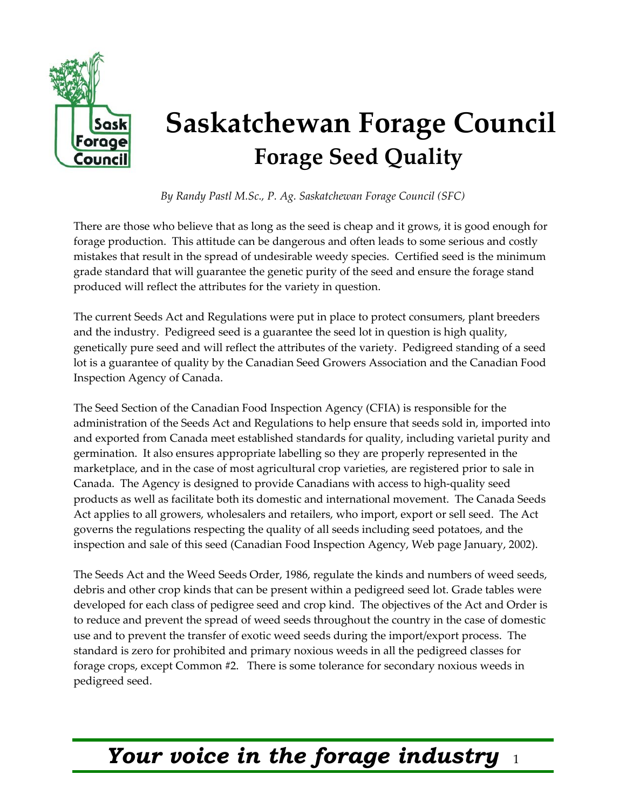

# **Saskatchewan Forage Council Forage Seed Quality**

*By Randy Pastl M.Sc., P. Ag. Saskatchewan Forage Council (SFC)* 

There are those who believe that as long as the seed is cheap and it grows, it is good enough for forage production. This attitude can be dangerous and often leads to some serious and costly mistakes that result in the spread of undesirable weedy species. Certified seed is the minimum grade standard that will guarantee the genetic purity of the seed and ensure the forage stand produced will reflect the attributes for the variety in question.

The current Seeds Act and Regulations were put in place to protect consumers, plant breeders and the industry. Pedigreed seed is a guarantee the seed lot in question is high quality, genetically pure seed and will reflect the attributes of the variety. Pedigreed standing of a seed lot is a guarantee of quality by the Canadian Seed Growers Association and the Canadian Food Inspection Agency of Canada.

The Seed Section of the Canadian Food Inspection Agency (CFIA) is responsible for the administration of the Seeds Act and Regulations to help ensure that seeds sold in, imported into and exported from Canada meet established standards for quality, including varietal purity and germination. It also ensures appropriate labelling so they are properly represented in the marketplace, and in the case of most agricultural crop varieties, are registered prior to sale in Canada. The Agency is designed to provide Canadians with access to high-quality seed products as well as facilitate both its domestic and international movement. The Canada Seeds Act applies to all growers, wholesalers and retailers, who import, export or sell seed. The Act governs the regulations respecting the quality of all seeds including seed potatoes, and the inspection and sale of this seed (Canadian Food Inspection Agency, Web page January, 2002).

The Seeds Act and the Weed Seeds Order, 1986, regulate the kinds and numbers of weed seeds, debris and other crop kinds that can be present within a pedigreed seed lot. Grade tables were developed for each class of pedigree seed and crop kind. The objectives of the Act and Order is to reduce and prevent the spread of weed seeds throughout the country in the case of domestic use and to prevent the transfer of exotic weed seeds during the import/export process. The standard is zero for prohibited and primary noxious weeds in all the pedigreed classes for forage crops, except Common #2. There is some tolerance for secondary noxious weeds in pedigreed seed.

# *Your voice in the forage industry* <sup>1</sup>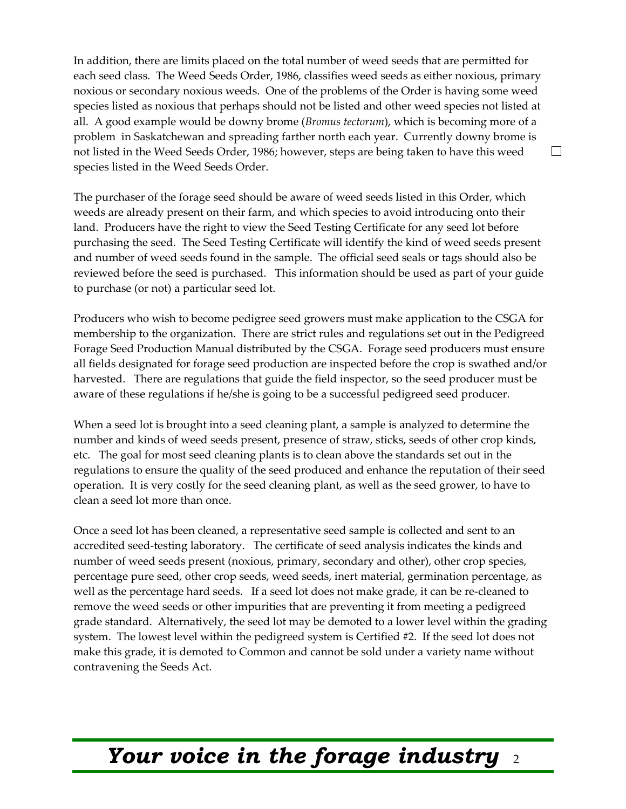In addition, there are limits placed on the total number of weed seeds that are permitted for each seed class. The Weed Seeds Order, 1986, classifies weed seeds as either noxious, primary noxious or secondary noxious weeds. One of the problems of the Order is having some weed species listed as noxious that perhaps should not be listed and other weed species not listed at all. A good example would be downy brome (*Bromus tectorum*), which is becoming more of a problem in Saskatchewan and spreading farther north each year. Currently downy brome is not listed in the Weed Seeds Order, 1986; however, steps are being taken to have this weed species listed in the Weed Seeds Order.

The purchaser of the forage seed should be aware of weed seeds listed in this Order, which weeds are already present on their farm, and which species to avoid introducing onto their land. Producers have the right to view the Seed Testing Certificate for any seed lot before purchasing the seed. The Seed Testing Certificate will identify the kind of weed seeds present and number of weed seeds found in the sample. The official seed seals or tags should also be reviewed before the seed is purchased. This information should be used as part of your guide to purchase (or not) a particular seed lot.

Producers who wish to become pedigree seed growers must make application to the CSGA for membership to the organization. There are strict rules and regulations set out in the Pedigreed Forage Seed Production Manual distributed by the CSGA. Forage seed producers must ensure all fields designated for forage seed production are inspected before the crop is swathed and/or harvested. There are regulations that guide the field inspector, so the seed producer must be aware of these regulations if he/she is going to be a successful pedigreed seed producer.

When a seed lot is brought into a seed cleaning plant, a sample is analyzed to determine the number and kinds of weed seeds present, presence of straw, sticks, seeds of other crop kinds, etc. The goal for most seed cleaning plants is to clean above the standards set out in the regulations to ensure the quality of the seed produced and enhance the reputation of their seed operation. It is very costly for the seed cleaning plant, as well as the seed grower, to have to clean a seed lot more than once.

Once a seed lot has been cleaned, a representative seed sample is collected and sent to an accredited seed-testing laboratory. The certificate of seed analysis indicates the kinds and number of weed seeds present (noxious, primary, secondary and other), other crop species, percentage pure seed, other crop seeds, weed seeds, inert material, germination percentage, as well as the percentage hard seeds. If a seed lot does not make grade, it can be re-cleaned to remove the weed seeds or other impurities that are preventing it from meeting a pedigreed grade standard. Alternatively, the seed lot may be demoted to a lower level within the grading system. The lowest level within the pedigreed system is Certified #2. If the seed lot does not make this grade, it is demoted to Common and cannot be sold under a variety name without contravening the Seeds Act.

### *Your voice in the forage industry* <sup>2</sup>

#### $\Box$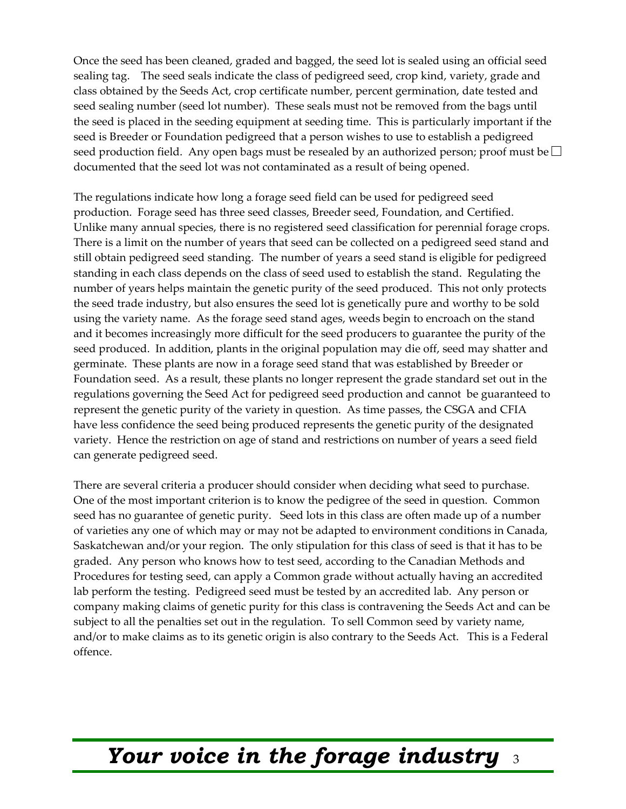Once the seed has been cleaned, graded and bagged, the seed lot is sealed using an official seed sealing tag. The seed seals indicate the class of pedigreed seed, crop kind, variety, grade and class obtained by the Seeds Act, crop certificate number, percent germination, date tested and seed sealing number (seed lot number). These seals must not be removed from the bags until the seed is placed in the seeding equipment at seeding time. This is particularly important if the seed is Breeder or Foundation pedigreed that a person wishes to use to establish a pedigreed seed production field. Any open bags must be resealed by an authorized person; proof must be  $\Box$ documented that the seed lot was not contaminated as a result of being opened.

The regulations indicate how long a forage seed field can be used for pedigreed seed production. Forage seed has three seed classes, Breeder seed, Foundation, and Certified. Unlike many annual species, there is no registered seed classification for perennial forage crops. There is a limit on the number of years that seed can be collected on a pedigreed seed stand and still obtain pedigreed seed standing. The number of years a seed stand is eligible for pedigreed standing in each class depends on the class of seed used to establish the stand. Regulating the number of years helps maintain the genetic purity of the seed produced. This not only protects the seed trade industry, but also ensures the seed lot is genetically pure and worthy to be sold using the variety name. As the forage seed stand ages, weeds begin to encroach on the stand and it becomes increasingly more difficult for the seed producers to guarantee the purity of the seed produced. In addition, plants in the original population may die off, seed may shatter and germinate. These plants are now in a forage seed stand that was established by Breeder or Foundation seed. As a result, these plants no longer represent the grade standard set out in the regulations governing the Seed Act for pedigreed seed production and cannot be guaranteed to represent the genetic purity of the variety in question. As time passes, the CSGA and CFIA have less confidence the seed being produced represents the genetic purity of the designated variety. Hence the restriction on age of stand and restrictions on number of years a seed field can generate pedigreed seed.

There are several criteria a producer should consider when deciding what seed to purchase. One of the most important criterion is to know the pedigree of the seed in question. Common seed has no guarantee of genetic purity. Seed lots in this class are often made up of a number of varieties any one of which may or may not be adapted to environment conditions in Canada, Saskatchewan and/or your region. The only stipulation for this class of seed is that it has to be graded. Any person who knows how to test seed, according to the Canadian Methods and Procedures for testing seed, can apply a Common grade without actually having an accredited lab perform the testing. Pedigreed seed must be tested by an accredited lab. Any person or company making claims of genetic purity for this class is contravening the Seeds Act and can be subject to all the penalties set out in the regulation. To sell Common seed by variety name, and/or to make claims as to its genetic origin is also contrary to the Seeds Act. This is a Federal offence.

# *Your voice in the forage industry* <sup>3</sup>